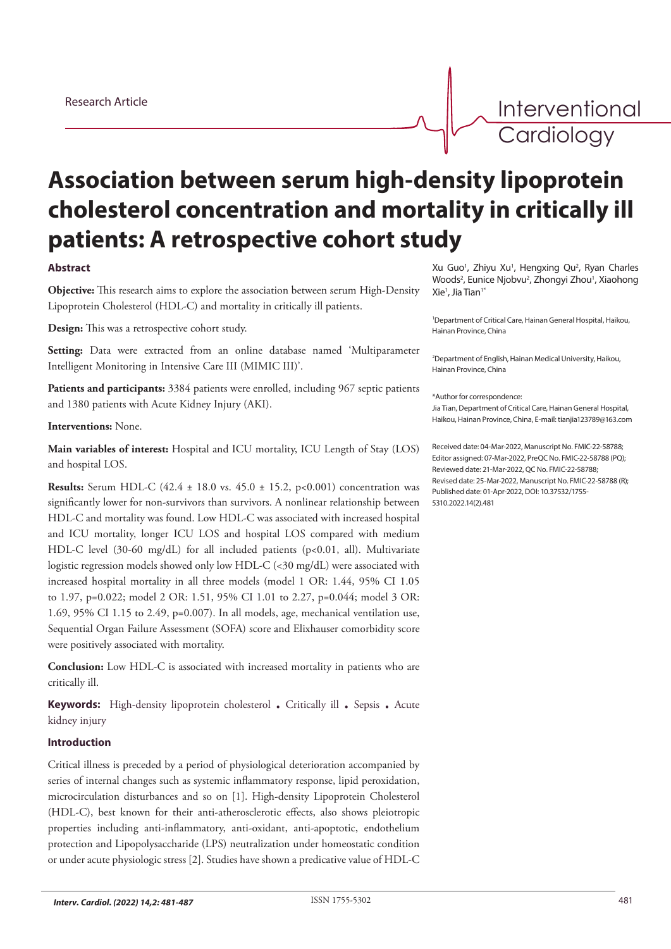Interventional **Cardiology** 

# **Association between serum high-density lipoprotein cholesterol concentration and mortality in critically ill patients: A retrospective cohort study**

## **Abstract**

**Objective:** This research aims to explore the association between serum High-Density Lipoprotein Cholesterol (HDL-C) and mortality in critically ill patients.

**Design:** This was a retrospective cohort study.

**Setting:** Data were extracted from an online database named 'Multiparameter Intelligent Monitoring in Intensive Care III (MIMIC III)'.

**Patients and participants:** 3384 patients were enrolled, including 967 septic patients and 1380 patients with Acute Kidney Injury (AKI).

#### **Interventions:** None.

**Main variables of interest:** Hospital and ICU mortality, ICU Length of Stay (LOS) and hospital LOS.

**Results:** Serum HDL-C (42.4 ± 18.0 vs. 45.0 ± 15.2, p<0.001) concentration was significantly lower for non-survivors than survivors. A nonlinear relationship between HDL-C and mortality was found. Low HDL-C was associated with increased hospital and ICU mortality, longer ICU LOS and hospital LOS compared with medium HDL-C level (30-60 mg/dL) for all included patients (p<0.01, all). Multivariate logistic regression models showed only low HDL-C (<30 mg/dL) were associated with increased hospital mortality in all three models (model 1 OR: 1.44, 95% CI 1.05 to 1.97, p=0.022; model 2 OR: 1.51, 95% CI 1.01 to 2.27, p=0.044; model 3 OR: 1.69, 95% CI 1.15 to 2.49,  $p=0.007$ ). In all models, age, mechanical ventilation use, Sequential Organ Failure Assessment (SOFA) score and Elixhauser comorbidity score were positively associated with mortality.

**Conclusion:** Low HDL-C is associated with increased mortality in patients who are critically ill.

**Keywords:** High-density lipoprotein cholesterol . Critically ill . Sepsis . Acute kidney injury

## **Introduction**

Critical illness is preceded by a period of physiological deterioration accompanied by series of internal changes such as systemic inflammatory response, lipid peroxidation, microcirculation disturbances and so on [1]. High-density Lipoprotein Cholesterol (HDL-C), best known for their anti-atherosclerotic effects, also shows pleiotropic properties including anti-inflammatory, anti-oxidant, anti-apoptotic, endothelium protection and Lipopolysaccharide (LPS) neutralization under homeostatic condition or under acute physiologic stress [2]. Studies have shown a predicative value of HDL-C

Xu Guo<sup>1</sup>, Zhiyu Xu<sup>1</sup>, Hengxing Qu<sup>2</sup>, Ryan Charles Woods<sup>2</sup>, Eunice Njobvu<sup>2</sup>, Zhongyi Zhou<sup>1</sup>, Xiaohong Xie1 , Jia Tian1\*

1 Department of Critical Care, Hainan General Hospital, Haikou, Hainan Province, China

2 Department of English, Hainan Medical University, Haikou, Hainan Province, China

#### \*Author for correspondence:

Jia Tian, Department of Critical Care, Hainan General Hospital, Haikou, Hainan Province, China, E-mail: tianjia123789@163.com

Received date: 04-Mar-2022, Manuscript No. FMIC-22-58788; Editor assigned: 07-Mar-2022, PreQC No. FMIC-22-58788 (PQ); Reviewed date: 21-Mar-2022, QC No. FMIC-22-58788; Revised date: 25-Mar-2022, Manuscript No. FMIC-22-58788 (R); Published date: 01-Apr-2022, DOI: 10.37532/1755- 5310.2022.14(2).481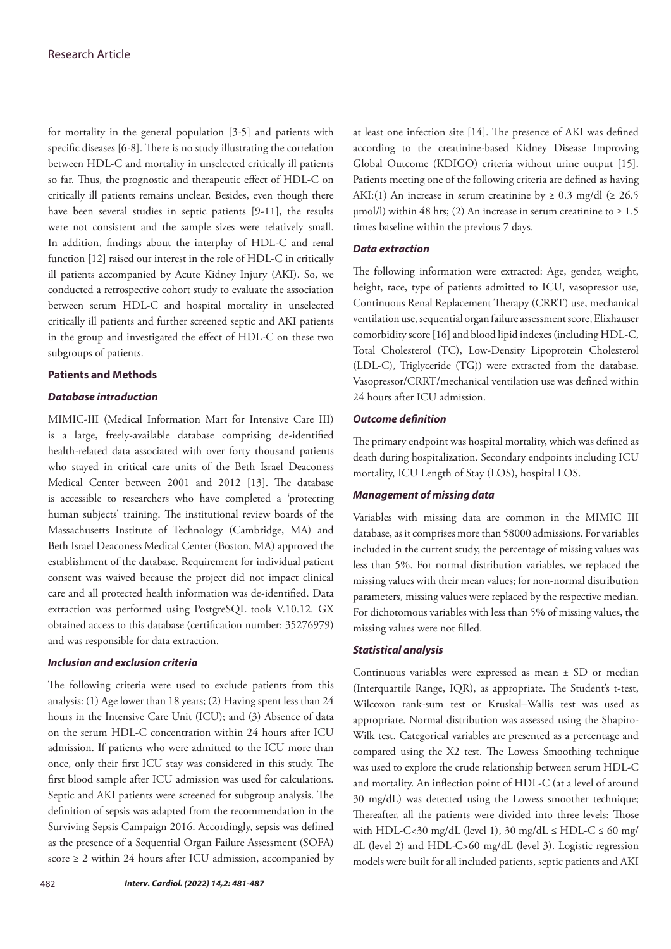for mortality in the general population [3-5] and patients with specific diseases [6-8]. There is no study illustrating the correlation between HDL-C and mortality in unselected critically ill patients so far. Thus, the prognostic and therapeutic effect of HDL-C on critically ill patients remains unclear. Besides, even though there have been several studies in septic patients [9-11], the results were not consistent and the sample sizes were relatively small. In addition, findings about the interplay of HDL-C and renal function [12] raised our interest in the role of HDL-C in critically ill patients accompanied by Acute Kidney Injury (AKI). So, we conducted a retrospective cohort study to evaluate the association between serum HDL-C and hospital mortality in unselected critically ill patients and further screened septic and AKI patients in the group and investigated the effect of HDL-C on these two subgroups of patients.

## **Patients and Methods**

#### *Database introduction*

MIMIC-III (Medical Information Mart for Intensive Care III) is a large, freely-available database comprising de-identified health-related data associated with over forty thousand patients who stayed in critical care units of the Beth Israel Deaconess Medical Center between 2001 and 2012 [13]. The database is accessible to researchers who have completed a 'protecting human subjects' training. The institutional review boards of the Massachusetts Institute of Technology (Cambridge, MA) and Beth Israel Deaconess Medical Center (Boston, MA) approved the establishment of the database. Requirement for individual patient consent was waived because the project did not impact clinical care and all protected health information was de-identified. Data extraction was performed using PostgreSQL tools V.10.12. GX obtained access to this database (certification number: 35276979) and was responsible for data extraction.

## *Inclusion and exclusion criteria*

The following criteria were used to exclude patients from this analysis: (1) Age lower than 18 years; (2) Having spent less than 24 hours in the Intensive Care Unit (ICU); and (3) Absence of data on the serum HDL-C concentration within 24 hours after ICU admission. If patients who were admitted to the ICU more than once, only their first ICU stay was considered in this study. The first blood sample after ICU admission was used for calculations. Septic and AKI patients were screened for subgroup analysis. The definition of sepsis was adapted from the recommendation in the Surviving Sepsis Campaign 2016. Accordingly, sepsis was defined as the presence of a Sequential Organ Failure Assessment (SOFA) score ≥ 2 within 24 hours after ICU admission, accompanied by

at least one infection site [14]. The presence of AKI was defined according to the creatinine-based Kidney Disease Improving Global Outcome (KDIGO) criteria without urine output [15]. Patients meeting one of the following criteria are defined as having AKI:(1) An increase in serum creatinine by  $\geq 0.3$  mg/dl ( $\geq 26.5$ )  $\mu$ mol/l) within 48 hrs; (2) An increase in serum creatinine to  $\geq 1.5$ times baseline within the previous 7 days.

#### *Data extraction*

The following information were extracted: Age, gender, weight, height, race, type of patients admitted to ICU, vasopressor use, Continuous Renal Replacement Therapy (CRRT) use, mechanical ventilation use, sequential organ failure assessment score, Elixhauser comorbidity score [16] and blood lipid indexes (including HDL-C, Total Cholesterol (TC), Low-Density Lipoprotein Cholesterol (LDL-C), Triglyceride (TG)) were extracted from the database. Vasopressor/CRRT/mechanical ventilation use was defined within 24 hours after ICU admission.

## *Outcome definition*

The primary endpoint was hospital mortality, which was defined as death during hospitalization. Secondary endpoints including ICU mortality, ICU Length of Stay (LOS), hospital LOS.

#### *Management of missing data*

Variables with missing data are common in the MIMIC III database, as it comprises more than 58000 admissions. For variables included in the current study, the percentage of missing values was less than 5%. For normal distribution variables, we replaced the missing values with their mean values; for non-normal distribution parameters, missing values were replaced by the respective median. For dichotomous variables with less than 5% of missing values, the missing values were not filled.

## *Statistical analysis*

Continuous variables were expressed as mean ± SD or median (Interquartile Range, IQR), as appropriate. The Student's t-test, Wilcoxon rank-sum test or Kruskal–Wallis test was used as appropriate. Normal distribution was assessed using the Shapiro-Wilk test. Categorical variables are presented as a percentage and compared using the X2 test. The Lowess Smoothing technique was used to explore the crude relationship between serum HDL-C and mortality. An inflection point of HDL-C (at a level of around 30 mg/dL) was detected using the Lowess smoother technique; Thereafter, all the patients were divided into three levels: Those with HDL-C<30 mg/dL (level 1), 30 mg/dL  $\leq$  HDL-C  $\leq$  60 mg/ dL (level 2) and HDL-C>60 mg/dL (level 3). Logistic regression models were built for all included patients, septic patients and AKI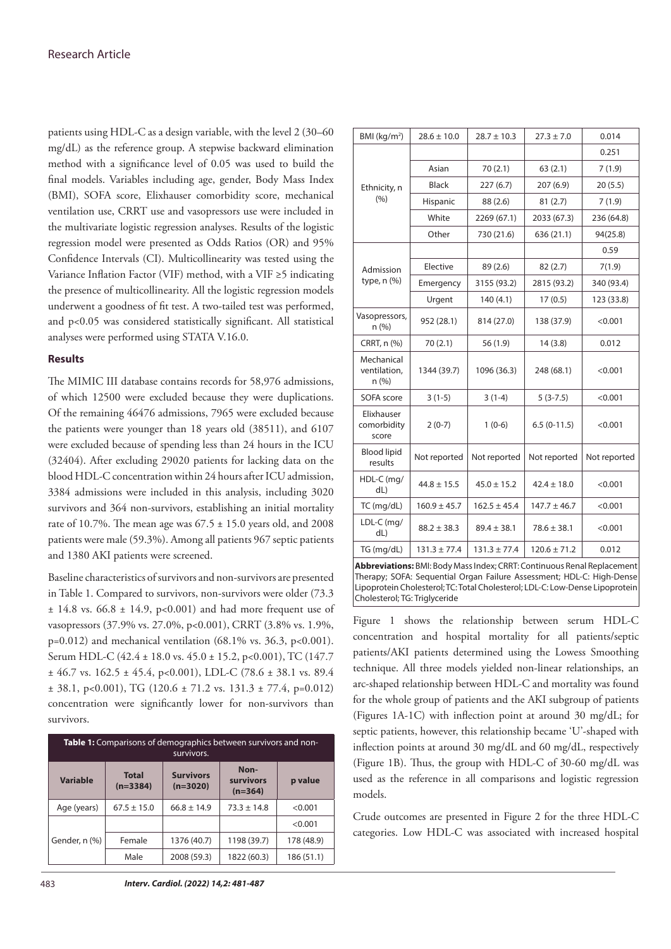patients using HDL-C as a design variable, with the level 2 (30–60 mg/dL) as the reference group. A stepwise backward elimination method with a significance level of 0.05 was used to build the final models. Variables including age, gender, Body Mass Index (BMI), SOFA score, Elixhauser comorbidity score, mechanical ventilation use, CRRT use and vasopressors use were included in the multivariate logistic regression analyses. Results of the logistic regression model were presented as Odds Ratios (OR) and 95% Confidence Intervals (CI). Multicollinearity was tested using the Variance Inflation Factor (VIF) method, with a VIF ≥5 indicating the presence of multicollinearity. All the logistic regression models underwent a goodness of fit test. A two-tailed test was performed, and p<0.05 was considered statistically significant. All statistical analyses were performed using STATA V.16.0.

#### **Results**

The MIMIC III database contains records for 58,976 admissions, of which 12500 were excluded because they were duplications. Of the remaining 46476 admissions, 7965 were excluded because the patients were younger than 18 years old (38511), and 6107 were excluded because of spending less than 24 hours in the ICU (32404). After excluding 29020 patients for lacking data on the blood HDL-C concentration within 24 hours after ICU admission, 3384 admissions were included in this analysis, including 3020 survivors and 364 non-survivors, establishing an initial mortality rate of 10.7%. The mean age was  $67.5 \pm 15.0$  years old, and 2008 patients were male (59.3%). Among all patients 967 septic patients and 1380 AKI patients were screened.

Baseline characteristics of survivors and non-survivors are presented in Table 1. Compared to survivors, non-survivors were older (73.3  $\pm$  14.8 vs. 66.8  $\pm$  14.9, p<0.001) and had more frequent use of vasopressors (37.9% vs. 27.0%, p<0.001), CRRT (3.8% vs. 1.9%,  $p=0.012$ ) and mechanical ventilation (68.1% vs. 36.3, p<0.001). Serum HDL-C (42.4 ± 18.0 vs. 45.0 ± 15.2, p<0.001), TC (147.7  $\pm$  46.7 vs. 162.5  $\pm$  45.4, p<0.001), LDL-C (78.6  $\pm$  38.1 vs. 89.4  $\pm$  38.1, p<0.001), TG (120.6  $\pm$  71.2 vs. 131.3  $\pm$  77.4, p=0.012) concentration were significantly lower for non-survivors than survivors.

| <b>Table 1:</b> Comparisons of demographics between survivors and non-<br>survivors. |                            |                                |                                |            |  |  |  |
|--------------------------------------------------------------------------------------|----------------------------|--------------------------------|--------------------------------|------------|--|--|--|
| <b>Variable</b>                                                                      | <b>Total</b><br>$(n=3384)$ | <b>Survivors</b><br>$(n=3020)$ | Non-<br>survivors<br>$(n=364)$ | p value    |  |  |  |
| Age (years)                                                                          | $67.5 \pm 15.0$            | $66.8 \pm 14.9$                | $73.3 \pm 14.8$                | < 0.001    |  |  |  |
| Gender, n (%)                                                                        |                            |                                |                                | < 0.001    |  |  |  |
|                                                                                      | Female                     | 1376 (40.7)                    | 1198 (39.7)                    | 178 (48.9) |  |  |  |
|                                                                                      | Male                       | 2008 (59.3)                    | 1822 (60.3)                    | 186 (51.1) |  |  |  |

| BMI ( $kg/m2$ )                    | $28.6 \pm 10.0$                                          | $28.7 \pm 10.3$  | $27.3 \pm 7.0$                                                          | 0.014        |  |
|------------------------------------|----------------------------------------------------------|------------------|-------------------------------------------------------------------------|--------------|--|
| Ethnicity, n<br>(%)                |                                                          |                  |                                                                         | 0.251        |  |
|                                    | Asian                                                    | 70(2.1)          | 63(2.1)                                                                 | 7(1.9)       |  |
|                                    | <b>Black</b>                                             | 227(6.7)         | 207(6.9)                                                                | 20(5.5)      |  |
|                                    | Hispanic                                                 | 88 (2.6)         | 81(2.7)                                                                 | 7(1.9)       |  |
|                                    | White                                                    | 2269 (67.1)      | 2033 (67.3)                                                             | 236 (64.8)   |  |
|                                    | Other                                                    | 730 (21.6)       | 636 (21.1)                                                              | 94(25.8)     |  |
| Admission<br>type, n (%)           |                                                          |                  |                                                                         | 0.59         |  |
|                                    | Elective                                                 | 89 (2.6)         | 82(2.7)                                                                 | 7(1.9)       |  |
|                                    | Emergency                                                | 3155 (93.2)      | 2815 (93.2)                                                             | 340 (93.4)   |  |
|                                    | Urgent                                                   | 140(4.1)         | 17(0.5)                                                                 | 123 (33.8)   |  |
| Vasopressors,<br>n(%)              | 952 (28.1)                                               | 814 (27.0)       | 138 (37.9)                                                              | < 0.001      |  |
| CRRT, n (%)                        | 70(2.1)                                                  | 56 (1.9)         | 14(3.8)                                                                 | 0.012        |  |
| Mechanical<br>ventilation,<br>n(%) | 1344 (39.7)                                              | 1096 (36.3)      | 248 (68.1)                                                              | < 0.001      |  |
| SOFA score                         | $3(1-5)$                                                 | $3(1-4)$         | $5(3-7.5)$                                                              | < 0.001      |  |
| Elixhauser<br>comorbidity<br>score | $2(0-7)$                                                 | $1(0-6)$         | $6.5(0-11.5)$                                                           | < 0.001      |  |
| <b>Blood lipid</b><br>results      | Not reported                                             | Not reported     | Not reported                                                            | Not reported |  |
| HDL-C (mg/<br>$dL$ )               | $44.8 \pm 15.5$                                          |                  | $42.4 \pm 18.0$                                                         | < 0.001      |  |
| TC (mg/dL)                         | $160.9 \pm 45.7$                                         | $162.5 \pm 45.4$ | $147.7 \pm 46.7$                                                        | < 0.001      |  |
| LDL-C (mg/<br>dL                   | $88.2 \pm 38.3$                                          |                  | $78.6 \pm 38.1$                                                         | < 0.001      |  |
| TG (mg/dL)                         | $131.3 \pm 77.4$<br>$120.6 \pm 71.2$<br>$131.3 \pm 77.4$ |                  |                                                                         | 0.012        |  |
|                                    |                                                          |                  | Abbreviations: BMI: Body Mass Index; CRRT: Continuous Renal Replacement |              |  |

Therapy; SOFA: Sequential Organ Failure Assessment; HDL-C: High-Dense Lipoprotein Cholesterol; TC: Total Cholesterol; LDL-C: Low-Dense Lipoprotein Cholesterol; TG: Triglyceride

Figure 1 shows the relationship between serum HDL-C concentration and hospital mortality for all patients/septic patients/AKI patients determined using the Lowess Smoothing technique. All three models yielded non-linear relationships, an arc-shaped relationship between HDL-C and mortality was found for the whole group of patients and the AKI subgroup of patients (Figures 1A-1C) with inflection point at around 30 mg/dL; for septic patients, however, this relationship became 'U'-shaped with inflection points at around 30 mg/dL and 60 mg/dL, respectively (Figure 1B). Thus, the group with HDL-C of 30-60 mg/dL was used as the reference in all comparisons and logistic regression models.

Crude outcomes are presented in Figure 2 for the three HDL-C categories. Low HDL-C was associated with increased hospital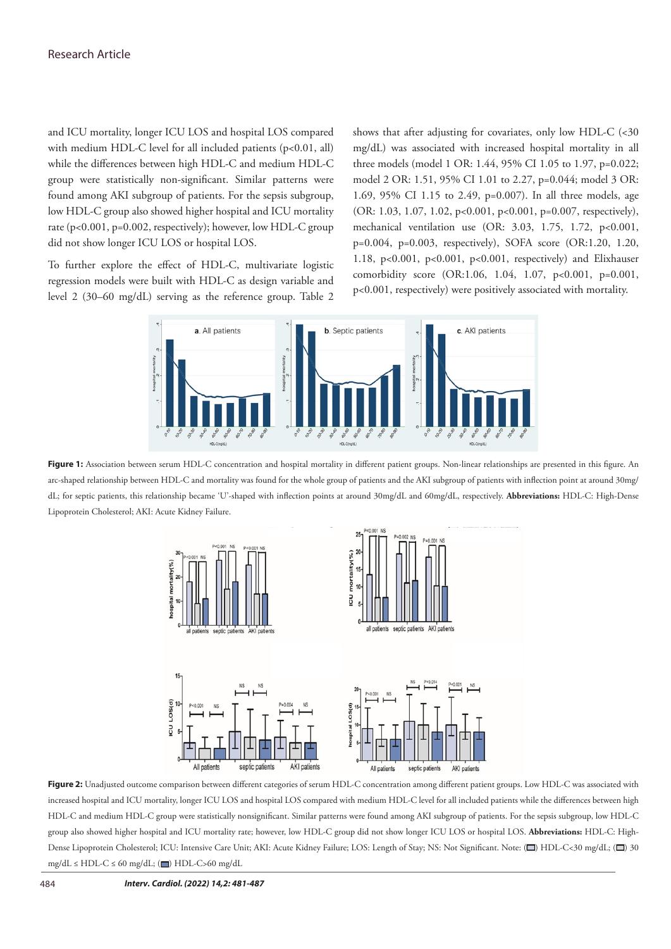and ICU mortality, longer ICU LOS and hospital LOS compared with medium HDL-C level for all included patients (p<0.01, all) while the differences between high HDL-C and medium HDL-C group were statistically non-significant. Similar patterns were found among AKI subgroup of patients. For the sepsis subgroup, low HDL-C group also showed higher hospital and ICU mortality rate (p<0.001, p=0.002, respectively); however, low HDL-C group did not show longer ICU LOS or hospital LOS.

To further explore the effect of HDL-C, multivariate logistic regression models were built with HDL-C as design variable and level 2 (30–60 mg/dL) serving as the reference group. Table 2

shows that after adjusting for covariates, only low HDL-C (<30 mg/dL) was associated with increased hospital mortality in all three models (model 1 OR: 1.44, 95% CI 1.05 to 1.97, p=0.022; model 2 OR: 1.51, 95% CI 1.01 to 2.27, p=0.044; model 3 OR: 1.69, 95% CI 1.15 to 2.49, p=0.007). In all three models, age (OR: 1.03, 1.07, 1.02, p<0.001, p<0.001, p=0.007, respectively), mechanical ventilation use (OR: 3.03, 1.75, 1.72, p<0.001, p=0.004, p=0.003, respectively), SOFA score (OR:1.20, 1.20, 1.18, p<0.001, p<0.001, p<0.001, respectively) and Elixhauser comorbidity score (OR:1.06, 1.04, 1.07, p<0.001, p=0.001, p<0.001, respectively) were positively associated with mortality.



Figure 1: Association between serum HDL-C concentration and hospital mortality in different patient groups. Non-linear relationships are presented in this figure. An arc-shaped relationship between HDL-C and mortality was found for the whole group of patients and the AKI subgroup of patients with inflection point at around 30mg/ dL; for septic patients, this relationship became 'U'-shaped with inflection points at around 30mg/dL and 60mg/dL, respectively. **Abbreviations:** HDL-C: High-Dense Lipoprotein Cholesterol; AKI: Acute Kidney Failure.



Figure 2: Unadjusted outcome comparison between different categories of serum HDL-C concentration among different patient groups. Low HDL-C was associated with increased hospital and ICU mortality, longer ICU LOS and hospital LOS compared with medium HDL-C level for all included patients while the differences between high HDL-C and medium HDL-C group were statistically nonsignificant. Similar patterns were found among AKI subgroup of patients. For the sepsis subgroup, low HDL-C group also showed higher hospital and ICU mortality rate; however, low HDL-C group did not show longer ICU LOS or hospital LOS. **Abbreviations:** HDL-C: High-Dense Lipoprotein Cholesterol; ICU: Intensive Care Unit; AKI: Acute Kidney Failure; LOS: Length of Stay; NS: Not Significant. Note: ( $\Box$ ) HDL-C<30 mg/dL; ( $\Box$ ) 30 mg/dL  $\leq$  HDL-C  $\leq$  60 mg/dL; ( $\Box$ ) HDL-C>60 mg/dL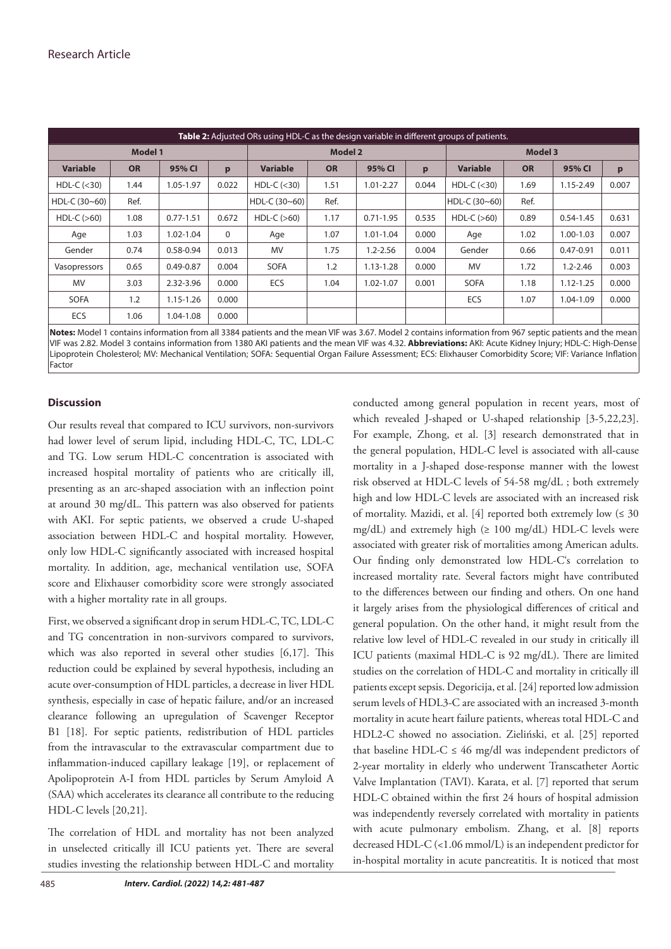| <b>Table 2:</b> Adjusted ORs using HDL-C as the design variable in different groups of patients. |           |               |                |                 |           |                |       |                 |           |               |       |
|--------------------------------------------------------------------------------------------------|-----------|---------------|----------------|-----------------|-----------|----------------|-------|-----------------|-----------|---------------|-------|
| <b>Model 1</b>                                                                                   |           |               | <b>Model 2</b> |                 |           | <b>Model 3</b> |       |                 |           |               |       |
| <b>Variable</b>                                                                                  | <b>OR</b> | 95% CI        | p              | <b>Variable</b> | <b>OR</b> | 95% CI         | p     | <b>Variable</b> | <b>OR</b> | 95% CI        | p     |
| HDL-C $(<$ 30)                                                                                   | 1.44      | 1.05-1.97     | 0.022          | HDL-C $(<$ 30)  | 1.51      | $1.01 - 2.27$  | 0.044 | HDL-C $(<$ 30)  | 1.69      | $1.15 - 2.49$ | 0.007 |
| HDL-C $(30 - 60)$                                                                                | Ref.      |               |                | HDL-C (30~60)   | Ref.      |                |       | HDL-C (30~60)   | Ref.      |               |       |
| $HDL-C (>60)$                                                                                    | 1.08      | $0.77 - 1.51$ | 0.672          | $HDL-C (>60)$   | 1.17      | $0.71 - 1.95$  | 0.535 | $HDL-C (>60)$   | 0.89      | $0.54 - 1.45$ | 0.631 |
| Age                                                                                              | 1.03      | $1.02 - 1.04$ | $\Omega$       | Age             | 1.07      | $1.01 - 1.04$  | 0.000 | Age             | 1.02      | 1.00-1.03     | 0.007 |
| Gender                                                                                           | 0.74      | $0.58 - 0.94$ | 0.013          | <b>MV</b>       | 1.75      | $1.2 - 2.56$   | 0.004 | Gender          | 0.66      | $0.47 - 0.91$ | 0.011 |
| Vasopressors                                                                                     | 0.65      | $0.49 - 0.87$ | 0.004          | <b>SOFA</b>     | 1.2       | $1.13 - 1.28$  | 0.000 | <b>MV</b>       | 1.72      | $1.2 - 2.46$  | 0.003 |
| <b>MV</b>                                                                                        | 3.03      | 2.32-3.96     | 0.000          | <b>ECS</b>      | 1.04      | 1.02-1.07      | 0.001 | <b>SOFA</b>     | 1.18      | $1.12 - 1.25$ | 0.000 |
| <b>SOFA</b>                                                                                      | 1.2       | $1.15 - 1.26$ | 0.000          |                 |           |                |       | ECS             | 1.07      | 1.04-1.09     | 0.000 |
| ECS                                                                                              | 1.06      | 1.04-1.08     | 0.000          |                 |           |                |       |                 |           |               |       |

**Notes:** Model 1 contains information from all 3384 patients and the mean VIF was 3.67. Model 2 contains information from 967 septic patients and the mean VIF was 2.82. Model 3 contains information from 1380 AKI patients and the mean VIF was 4.32. **Abbreviations:** AKI: Acute Kidney Injury; HDL-C: High-Dense Lipoprotein Cholesterol; MV: Mechanical Ventilation; SOFA: Sequential Organ Failure Assessment; ECS: Elixhauser Comorbidity Score; VIF: Variance Inflation Factor

# **Discussion**

Our results reveal that compared to ICU survivors, non-survivors had lower level of serum lipid, including HDL-C, TC, LDL-C and TG. Low serum HDL-C concentration is associated with increased hospital mortality of patients who are critically ill, presenting as an arc-shaped association with an inflection point at around 30 mg/dL. This pattern was also observed for patients with AKI. For septic patients, we observed a crude U-shaped association between HDL-C and hospital mortality. However, only low HDL-C significantly associated with increased hospital mortality. In addition, age, mechanical ventilation use, SOFA score and Elixhauser comorbidity score were strongly associated with a higher mortality rate in all groups.

First, we observed a significant drop in serum HDL-C, TC, LDL-C and TG concentration in non-survivors compared to survivors, which was also reported in several other studies [6,17]. This reduction could be explained by several hypothesis, including an acute over-consumption of HDL particles, a decrease in liver HDL synthesis, especially in case of hepatic failure, and/or an increased clearance following an upregulation of Scavenger Receptor B1 [18]. For septic patients, redistribution of HDL particles from the intravascular to the extravascular compartment due to inflammation-induced capillary leakage [19], or replacement of Apolipoprotein A-I from HDL particles by Serum Amyloid A (SAA) which accelerates its clearance all contribute to the reducing HDL-C levels [20,21].

The correlation of HDL and mortality has not been analyzed in unselected critically ill ICU patients yet. There are several studies investing the relationship between HDL-C and mortality

conducted among general population in recent years, most of which revealed J-shaped or U-shaped relationship [3-5,22,23]. For example, Zhong, et al. [3] research demonstrated that in the general population, HDL-C level is associated with all-cause mortality in a J-shaped dose-response manner with the lowest risk observed at HDL-C levels of 54-58 mg/dL ; both extremely high and low HDL-C levels are associated with an increased risk of mortality. Mazidi, et al. [4] reported both extremely low  $( \leq 30$ mg/dL) and extremely high (≥ 100 mg/dL) HDL-C levels were associated with greater risk of mortalities among American adults. Our finding only demonstrated low HDL-C's correlation to increased mortality rate. Several factors might have contributed to the differences between our finding and others. On one hand it largely arises from the physiological differences of critical and general population. On the other hand, it might result from the relative low level of HDL-C revealed in our study in critically ill ICU patients (maximal HDL-C is 92 mg/dL). There are limited studies on the correlation of HDL-C and mortality in critically ill patients except sepsis. Degoricija, et al. [24] reported low admission serum levels of HDL3-C are associated with an increased 3-month mortality in acute heart failure patients, whereas total HDL-C and HDL2-C showed no association. Zieliński, et al. [25] reported that baseline HDL-C  $\leq$  46 mg/dl was independent predictors of 2-year mortality in elderly who underwent Transcatheter Aortic Valve Implantation (TAVI). Karata, et al. [7] reported that serum HDL-C obtained within the first 24 hours of hospital admission was independently reversely correlated with mortality in patients with acute pulmonary embolism. Zhang, et al. [8] reports decreased HDL-C (<1.06 mmol/L) is an independent predictor for in-hospital mortality in acute pancreatitis. It is noticed that most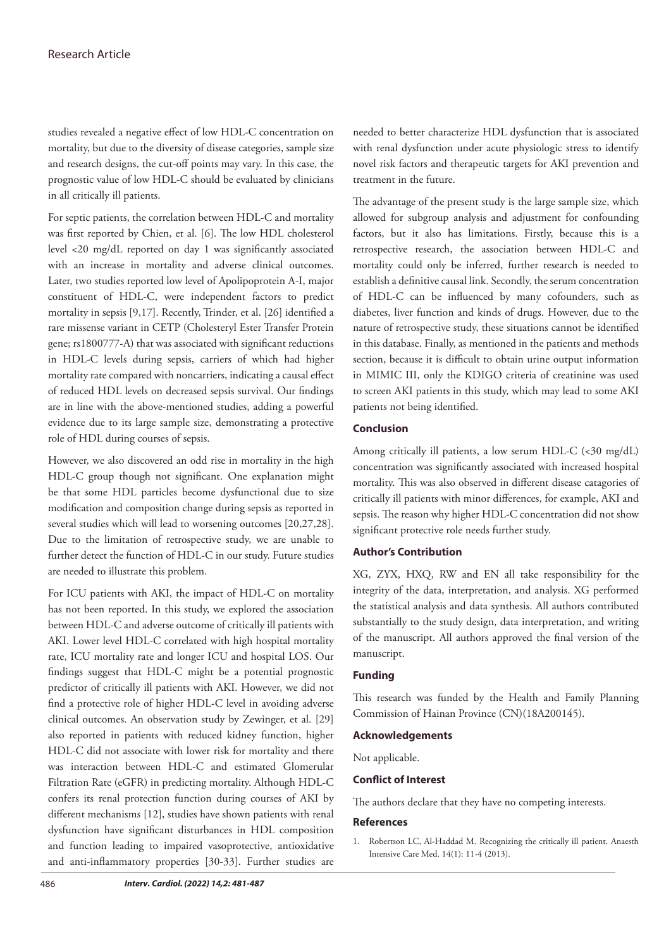studies revealed a negative effect of low HDL-C concentration on mortality, but due to the diversity of disease categories, sample size and research designs, the cut-off points may vary. In this case, the prognostic value of low HDL-C should be evaluated by clinicians in all critically ill patients.

For septic patients, the correlation between HDL-C and mortality was first reported by Chien, et al. [6]. The low HDL cholesterol level <20 mg/dL reported on day 1 was significantly associated with an increase in mortality and adverse clinical outcomes. Later, two studies reported low level of Apolipoprotein A-I, major constituent of HDL-C, were independent factors to predict mortality in sepsis [9,17]. Recently, Trinder, et al. [26] identified a rare missense variant in CETP (Cholesteryl Ester Transfer Protein gene; rs1800777-A) that was associated with significant reductions in HDL-C levels during sepsis, carriers of which had higher mortality rate compared with noncarriers, indicating a causal effect of reduced HDL levels on decreased sepsis survival. Our findings are in line with the above-mentioned studies, adding a powerful evidence due to its large sample size, demonstrating a protective role of HDL during courses of sepsis.

However, we also discovered an odd rise in mortality in the high HDL-C group though not significant. One explanation might be that some HDL particles become dysfunctional due to size modification and composition change during sepsis as reported in several studies which will lead to worsening outcomes [20,27,28]. Due to the limitation of retrospective study, we are unable to further detect the function of HDL-C in our study. Future studies are needed to illustrate this problem.

For ICU patients with AKI, the impact of HDL-C on mortality has not been reported. In this study, we explored the association between HDL-C and adverse outcome of critically ill patients with AKI. Lower level HDL-C correlated with high hospital mortality rate, ICU mortality rate and longer ICU and hospital LOS. Our findings suggest that HDL-C might be a potential prognostic predictor of critically ill patients with AKI. However, we did not find a protective role of higher HDL-C level in avoiding adverse clinical outcomes. An observation study by Zewinger, et al. [29] also reported in patients with reduced kidney function, higher HDL-C did not associate with lower risk for mortality and there was interaction between HDL-C and estimated Glomerular Filtration Rate (eGFR) in predicting mortality. Although HDL-C confers its renal protection function during courses of AKI by different mechanisms [12], studies have shown patients with renal dysfunction have significant disturbances in HDL composition and function leading to impaired vasoprotective, antioxidative and anti-inflammatory properties [30-33]. Further studies are needed to better characterize HDL dysfunction that is associated with renal dysfunction under acute physiologic stress to identify novel risk factors and therapeutic targets for AKI prevention and treatment in the future.

The advantage of the present study is the large sample size, which allowed for subgroup analysis and adjustment for confounding factors, but it also has limitations. Firstly, because this is a retrospective research, the association between HDL-C and mortality could only be inferred, further research is needed to establish a definitive causal link. Secondly, the serum concentration of HDL-C can be influenced by many cofounders, such as diabetes, liver function and kinds of drugs. However, due to the nature of retrospective study, these situations cannot be identified in this database. Finally, as mentioned in the patients and methods section, because it is difficult to obtain urine output information in MIMIC III, only the KDIGO criteria of creatinine was used to screen AKI patients in this study, which may lead to some AKI patients not being identified.

## **Conclusion**

Among critically ill patients, a low serum HDL-C (<30 mg/dL) concentration was significantly associated with increased hospital mortality. This was also observed in different disease catagories of critically ill patients with minor differences, for example, AKI and sepsis. The reason why higher HDL-C concentration did not show significant protective role needs further study.

## **Author's Contribution**

XG, ZYX, HXQ, RW and EN all take responsibility for the integrity of the data, interpretation, and analysis. XG performed the statistical analysis and data synthesis. All authors contributed substantially to the study design, data interpretation, and writing of the manuscript. All authors approved the final version of the manuscript.

## **Funding**

This research was funded by the Health and Family Planning Commission of Hainan Province (CN)(18A200145).

#### **Acknowledgements**

Not applicable.

#### **Conflict of Interest**

The authors declare that they have no competing interests.

### **References**

1. Robertson LC, Al-Haddad M. [Recognizing the critically ill patient.](https://www.sciencedirect.com/science/article/abs/pii/S1472029912002664) Anaesth Intensive Care Med. 14(1): 11-4 (2013).